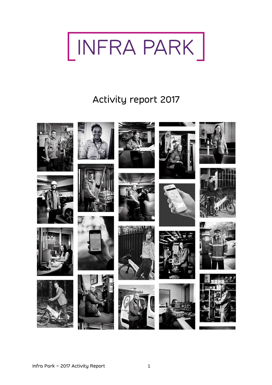

# Activity report 2017









































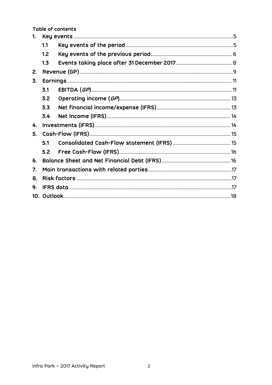Table of contents

| 1. |     |  |  |  |
|----|-----|--|--|--|
|    | 1.1 |  |  |  |
|    | 1.2 |  |  |  |
|    | 1.3 |  |  |  |
| 2. |     |  |  |  |
| 3. |     |  |  |  |
|    | 3.1 |  |  |  |
|    | 3.2 |  |  |  |
|    | 3.3 |  |  |  |
|    | 3.4 |  |  |  |
| 4. |     |  |  |  |
| 5. |     |  |  |  |
|    | 5.1 |  |  |  |
|    | 5.2 |  |  |  |
| 6. |     |  |  |  |
| 7. |     |  |  |  |
| 8. |     |  |  |  |
| 9. |     |  |  |  |
|    |     |  |  |  |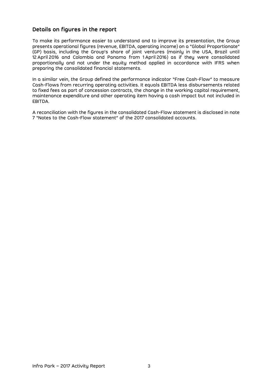### **Details on figures in the report**

To make its performance easier to understand and to improve its presentation, the Group presents operational figures (revenue, EBITDA, operating income) on a "Global Proportionate" (GP) basis, including the Group's share of joint ventures (mainly in the USA, Brazil until 12 April 2016 and Colombia and Panama from 1 April 2016) as if they were consolidated proportionally and not under the equity method applied in accordance with IFRS when preparing the consolidated financial statements.

In a similar vein, the Group defined the performance indicator "Free Cash-Flow" to measure Cash-Flows from recurring operating activities. It equals EBITDA less disbursements related to fixed fees as part of concession contracts, the change in the working capital requirement, maintenance expenditure and other operating item having a cash impact but not included in EBITDA.

A reconciliation with the figures in the consolidated Cash-Flow statement is disclosed in note 7 "Notes to the Cash-Flow statement" of the 2017 consolidated accounts.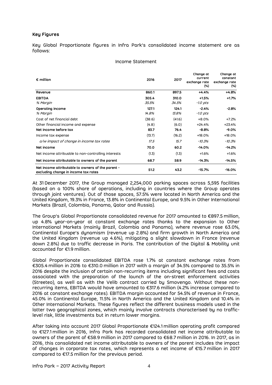#### **Key Figures**

Key Global Proportionate figures in Infra Park's consolidated income statement are as follows:

#### Income Statement

| $\epsilon$ million                                                                        | 2016           | 2017           | Change at<br>current<br>exchange rate<br>(%) | Change at<br>constant<br>exchange rate<br>(%) |
|-------------------------------------------------------------------------------------------|----------------|----------------|----------------------------------------------|-----------------------------------------------|
| Revenue                                                                                   | 860.1          | 897.5          | $+4.4%$                                      | $+4.8%$                                       |
| <b>EBITDA</b><br>% Margin                                                                 | 305.4<br>35.5% | 310.0<br>34.5% | $+1.5%$<br>-1.0 pts                          | $+1.7%$                                       |
| Operating income<br>% Margin                                                              | 127.1<br>14.8% | 124.1<br>13.8% | $-2.4%$<br>-1.0 pts                          | $-2.8%$                                       |
| Cost of net financial debt                                                                | (38.6)         | (41.6)         | $+8.0%$                                      | $+7.2%$                                       |
| Other financial income and expense                                                        | (4.8)          | (6.0)          | $+24.4%$                                     | +23.4%                                        |
| Net income before tax                                                                     | 83.7           | 76.4           | $-8.8%$                                      | -9.0%                                         |
| Income tax expense                                                                        | (13.7)         | (16.2)         | $+18.0%$                                     | +18.0%                                        |
| o/w impact of change in income tax rates                                                  | 17.5           | 15.7           | $-10.3%$                                     | -10.3%                                        |
| Net income                                                                                | 70.0           | 60.2           | $-14.0%$                                     | $-14.2%$                                      |
| Net income attribuable to non-controlling interests                                       | (1.3)          | (1.3)          | $+1.6%$                                      | $+1.6%$                                       |
| Net income attributable to owners of the parent                                           | 68.7           | 58.9           | $-14.3%$                                     | -14.5%                                        |
| Net income attributable to owners of the parent -<br>excluding change in income tax rates | 51.2           | 43.2           | $-15.7%$                                     | -16.0%                                        |

At 31 December 2017, the Group managed 2,254,000 parking spaces across 5,595 facilities (based on a 100% share of operations, including in countries where the Group operates through joint ventures). Out of those spaces, 57.5% were located in North America and the United Kingdom, 19.3% in France, 13.8% in Continental Europe, and 9.5% in Other International Markets (Brazil, Colombia, Panama, Qatar and Russia).

The Group's Global Proportionate consolidated revenue for 2017 amounted to €897.5 million, up 4.8% year-on-year at constant exchange rates thanks to the expansion to Other International Markets (mainly Brazil, Colombia and Panama), where revenue rose 63.0%, Continental Europe's dynamism (revenue up 2.8%) and firm growth in North America and the United Kingdom (revenue up 4.6%), mitigating a slight slowdown in France (revenue down 2.8%) due to traffic decrease in Paris. The contribution of the Digital & Mobility unit accounted for €1.9 million.

Global Proportionate consolidated EBITDA rose 1.7% at constant exchange rates from €305.4 million in 2016 to €310.0 million in 2017 with a margin of 34.5% compared to 35.5% in 2016 despite the inclusion of certain non-recurring items including significant fees and costs associated with the preparation of the launch of the on-street enforcement activities (Streeteo), as well as with the Velib contract carried by Smovengo. Without these nonrecurring items, EBITDA would have amounted to €317.6 million (4.2% increase compared to 2016 at constant exchange rates). EBITDA margin accounted for 54.5% of revenue in France, 45.0% in Continental Europe, 11.5% in North America and the United Kingdom and 10.4% in Other International Markets. These figures reflect the different business models used in the latter two geographical zones, which mainly involve contracts characterised by no trafficlevel risk, little investments but in return lower margins.

After taking into account 2017 Global Proportionate €124.1 million operating profit compared to €127.1 million in 2016, Infra Park has recorded consolidated net income attributable to owners of the parent of €58.9 million in 2017 compared to €68.7 million in 2016. In 2017, as in 2016, this consolidated net income attributable to owners of the parent includes the impact of changes in corporate tax rates, which represents a net income of €15.7 million in 2017 compared to €17.5 million for the previous period.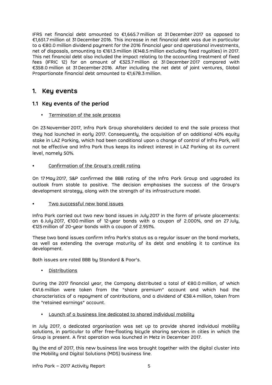IFRS net financial debt amounted to €1,665.7 million at 31 December 2017 as opposed to €1,651.7 million at 31 December 2016. This increase in net financial debt was due in particular to a €80.0 million dividend payment for the 2016 financial year and operational investments, net of disposals, amounting to €161.3 million (€148.5 million excluding fixed royalties) in 2017. This net financial debt also included the impact relating to the accounting treatment of fixed fees (IFRIC 12) for an amount of €323.7 million at 31 December 2017 compared with €358.0 million at 31 December 2016. After including the net debt of joint ventures, Global Proportionate financial debt amounted to €1,678.3 million.

## **1. Key events**

### **1.1 Key events of the period**

• Termination of the sale process

On 23 November 2017, Infra Park Group shareholders decided to end the sale process that they had launched in early 2017. Consequently, the acquisition of an additional 40% equity stake in LAZ Parking, which had been conditional upon a change of control of Infra Park, will not be effective and Infra Park thus keeps its indirect interest in LAZ Parking at its current level, namelu 50%.

• Confirmation of the Group's credit rating

On 17 May 2017, S&P confirmed the BBB rating of the Infra Park Group and upgraded its outlook from stable to positive. The decision emphasises the success of the Group's development strategy, along with the strength of its infrastructure model.

### Two successful new bond issues

Infra Park carried out two new bond issues in July 2017 in the form of private placements: on 6 July 2017, €100 million of 12-year bonds with a coupon of 2.000%, and on 27 July, €125 million of 20-year bonds with a coupon of 2.951%.

These two bond issues confirm Infra Park's status as a regular issuer on the bond markets, as well as extending the average maturity of its debt and enabling it to continue its development.

Both issues are rated BBB by Standard & Poor's.

• Distributions

During the 2017 financial year, the Company distributed a total of €80.0 million, of which €41.6 million were taken from the "share premium" account and which had the characteristics of a repayment of contributions, and a dividend of €38.4 million, taken from the "retained earnings" account.

• Launch of a business line dedicated to shared individual mobility

In July 2017, a dedicated organisation was set up to provide shared individual mobility solutions, in particular to offer free-floating bicycle sharing services in cities in which the Group is present. A first operation was launched in Metz in December 2017.

By the end of 2017, this new business line was brought together with the digital cluster into the Mobility and Digital Solutions (MDS) business line.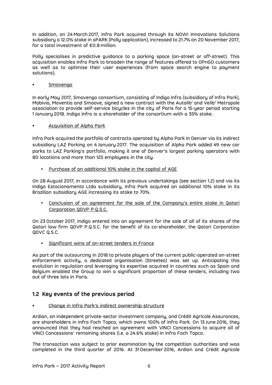In addition, on 24 March 2017, Infra Park acquired through its NOW! Innovations Solutions subsidiary a 12.0% stake in sPARK (Polly application), increased to 21.7% on 20 November 2017, for a total investment of €0.8 million.

Polly specialises in predictive guidance to a parking space (on-street or off-street). This acquisition enables Infra Park to broaden the range of features offered to OPnGO customers as well as to optimise their user experiences (from space search engine to payment solutions).

### • Smovengo

In early May 2017, Smovengo consortium, consisting of Indigo Infra (subsidiary of Infra Park), Mobivia, Moventia and Smoove, signed a new contract with the Autolib' and Velib' Metropole association to provide self-service bicycles in the city of Paris for a 15-year period starting 1 January 2018. Indigo Infra is a shareholder of the consortium with a 35% stake.

### • Acquisition of Alpha Park

Infra Park acquired the portfolio of contracts operated by Alpha Park in Denver via its indirect subsidiary LAZ Parking on 4 January 2017. The acquisition of Alpha Park added 49 new car parks to LAZ Parking's portfolio, making it one of Denver's largest parking operators with 80 locations and more than 125 employees in the city.

• Purchase of an additional 10% stake in the capital of AGE

On 28 August 2017, in accordance with its previous undertakings (see section 1.2) and via its Indigo Estacionamento Ltda subsidiary, Infra Park acquired an additional 10% stake in its Brazilian subsidiary AGE increasing its stake to 70%.

• Conclusion of an agreement for the sale of the Company's entire stake in Qatari Corporation QDVP P.Q.S.C.

On 23 October 2017, Indigo entered into an agreement for the sale of all of its shares of the Qatari law firm QDVP P.Q.S.C. for the benefit of its co-shareholder, the Qatari Corporation QDVC Q.S.C.

Significant wins of on-street tenders in France

As part of the outsourcing in 2018 to private players of the current public-operated on-street enforcement activity, a dedicated organisation (Streeteo) was set up. Anticipating this evolution in regulation and leveraging its expertise acquired in countries such as Spain and Belgium enabled the Group to win a significant proportion of these tenders, including two out of three lots in Paris.

### **1.2 Key events of the previous period**

• Change in Infra Park's indirect ownership structure

Ardian, an independent private-sector investment company, and Crédit Agricole Assurances, are shareholders in Infra Foch Topco, which owns 100% of Infra Park. On 13 June 2016, they announced that they had reached an agreement with VINCI Concessions to acquire all of VINCI Concessions' remaining shares (i.e. a 24.6% stake) in Infra Foch Topco.

The transaction was subject to prior examination by the competition authorities and was completed in the third quarter of 2016. At 31 December 2016, Ardian and Crédit Agricole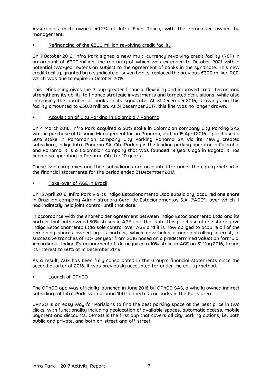Assurances each owned 49.2% of Infra Foch Topco, with the remainder owned by management.

### Refinancing of the €300 million revolving credit facility

On 7 October 2016, Infra Park signed a new multi-currency revolving credit facility (RCF) in an amount of €300 million, the maturity of which was extended to October 2021 with a potential two-year extension subject to the agreement of banks in the syndicate. This new credit facility, granted by a syndicate of seven banks, replaced the previous €300 million RCF, which was due to expire in October 2019.

This refinancing gives the Group greater financial flexibility and improved credit terms, and strengthens its ability to finance strategic investments and targeted acquisitions, while also increasing the number of banks in its syndicate. At 31 December 2016, drawings on this facility amounted to €50.0 million. At 31 December 2017, this line was no longer drawn.

#### • Acquisition of City Parking in Colombia / Panama

On 4 March 2016, Infra Park acquired a 50% stake in Colombian company City Parking SAS via the purchase of Urbania Management Inc. in Panama, and on 15 April 2016 it purchased a 50% stake in Panamanian company City Parking Panama SA via its newly created subsidiary, Indigo Infra Panama SA. City Parking is the leading parking operator in Colombia and Panama. It is a Colombian company that was founded 19 years ago in Bogota. It has been also operating in Panama City for 10 years.

These two companies and their subsidiaries are accounted for under the equity method in the financial statements for the period ended 31 December 2017.

• Take-over of AGE in Brazil

On 13 April 2016, Infra Park via its Indigo Estacionamento Ltda subsidiary, acquired one share in Brazilian company Administradora Geral de Estacionamentos S.A. ("AGE"), over which it had indirectly held joint control until that date.

In accordance with the shareholder agreement between Indigo Estacionamento Ltda and its partner that both owned 50% stakes in AGE until that date, this purchase of one share gave Indigo Estacionamento Ltda sole control over AGE and it is now obliged to acquire all of the remaining shares owned by its partner, which now holds a non-controlling interest, in successive tranches of 10% per year from 2016 based on a predetermined valuation formula. Accordingly, Indigo Estacionamento Ltda acquired a 10% stake in AGE on 31 May 2016, taking its interest to 60% at 31 December 2016.

As a result, AGE has been fully consolidated in the Group's financial statements since the second quarter of 2016. It was previously accounted for under the equity method.

#### • Launch of OPnGO

The OPnGO app was officially launched in June 2016 by OPnGO SAS, a wholly owned indirect subsidiary of Infra Park, with around 100 connected car parks in the Paris area.

OPnGO is an easy way for Parisians to find the best parking space at the best price in two clicks, with functionality including geolocation of available spaces, automatic access, mobile payment and discounts. OPnGO is the first app that covers all city parking options, i.e. both public and private, and both on-street and off-street.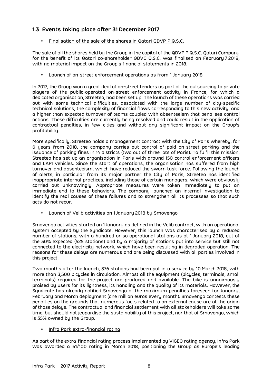### **1.3 Events taking place after 31 December 2017**

• Finalisation of the sale of the shares in Qatari QDVP P.Q.S.C.

The sale of all the shares held by the Group in the capital of the QDVP P.Q.S.C. Qatari Company for the benefit of its Qatari co-shareholder QDVC Q.S.C. was finalised on February 7 2018, with no material impact on the Group's financial statements in 2018.

• Launch of on-street enforcement operations as from 1 January 2018

In 2017, the Group won a great deal of on-street tenders as part of the outsourcing to private players of the public-operated on-street enforcement activity in France, for which a dedicated organisation, Streeteo, had been set up. The launch of these operations was carried out with some technical difficulties, associated with the large number of city-specific technical solutions, the complexity of financial flows corresponding to this new activity, and a higher than expected turnover of teams coupled with absenteeism that penalises control actions. These difficulties are currently being resolved and could result in the application of contractual penalties, in few cities and without any significant impact on the Group's profitability.

More specifically, Streeteo holds a management contract with the City of Paris whereby, for 6 years from 2018, the company carries out control of paid on-street parking and the issuance of parking fines in 14 districts (two out of three lots of Paris). To fulfil this mission, Streeteo has set up an organisation in Paris with around 150 control enforcement officers and LAPI vehicles. Since the start of operations, the organisation has suffered from high turnover and absenteeism, which have reduced the sworn task force. Following the launch of alerts, in particular from its major partner the City of Paris, Streeteo has identified inappropriate internal practices, including those of certain managers, which were obviously carried out unknowingly. Appropriate measures were taken immediately to put an immediate end to these behaviors. The company launched an internal investigation to identify the real causes of these failures and to strengthen all its processes so that such acts do not recur.

• Launch of Velib activities on 1 January 2018 by Smovengo

Smovengo activities started on 1 January as defined in the Velib contract, with an operational system accepted by the Syndicate. However, this launch was characterised by a reduced number of stations, with a hundred or so operational stations as at 1 January 2018, out of the 50% expected (525 stations) and by a majority of stations put into service but still not connected to the electricity network, which have been resulting in degraded operation. The reasons for these delays are numerous and are being discussed with all parties involved in this project.

Two months after the launch, 376 stations had been put into service by 10 March 2018, with more than 3,500 bicycles in circulation. Almost all the equipment (bicycles, terminals, small terminals) required for the project are produced and available. The bike is unanimously praised by users for its lightness, its handling and the quality of its materials. However, the Syndicate has already notified Smovengo of the maximum penalties foreseen for January, February and March deployment (one million euros every month). Smovengo contests these penalties on the grounds that numerous facts related to an external cause are at the origin of those delays. The contractual and financial settlement with all stakeholders will take some time, but should not jeopardise the sustainability of this project, nor that of Smovengo, which is 35% owned by the Group.

• Infra Park extra-financial rating

As part of the extra-financial rating process implemented by VIGEO rating agency, Infra Park was awarded a 61/100 rating in March 2018, positioning the Group as Europe's leading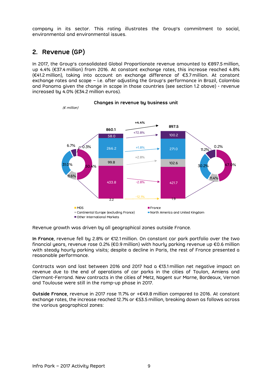company in its sector. This rating illustrates the Group's commitment to social, environmental and environmental issues.

# **2. Revenue (GP)**

In 2017, the Group's consolidated Global Proportionate revenue amounted to €897.5 million, up 4.4% (€37.4 million) from 2016. At constant exchange rates, this increase reached 4.8% (€41.2 million), taking into account an exchange difference of €3.7 million. At constant exchange rates and scope – i.e. after adjusting the Group's performance in Brazil, Colombia and Panama given the change in scope in those countries (see section 1.2 above) - revenue increased by 4.0% (€34.2 million euros).



**Changes in revenue by business unit** 

Revenue growth was driven by all geographical zones outside France.

**In France**, revenue fell by 2.8% or €12.1 million. On constant car park portfolio over the two financial years, revenue rose 0.2% (€0.9 million) with hourly parking revenue up €0.6 million with steady hourly parking visits; despite a decline in Paris, the rest of France presented a reasonable performance.

Contracts won and lost between 2016 and 2017 had a €13.1 million net negative impact on revenue due to the end of operations of car parks in the cities of Toulon, Amiens and Clermont-Ferrand. New contracts in the cities of Metz, Nogent sur Marne, Bordeaux, Vernon and Toulouse were still in the ramp-up phase in 2017.

**Outside France**, revenue in 2017 rose 11.7% or +€49.8 million compared to 2016. At constant exchange rates, the increase reached 12.7% or €53.5 million, breaking down as follows across the various geographical zones: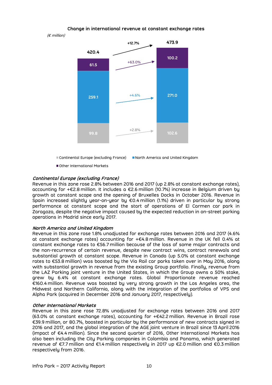#### **Change in international revenue at constant exchange rates**

 $(F \text{ million})$ 



Other International Markets

#### **Continental Europe (excluding France)**

Revenue in this zone rose 2.8% between 2016 and 2017 (up 2.8% at constant exchange rates), accounting for +€2.8 million. It includes a €2.6 million (10.7%) increase in Belgium driven by growth at constant scope and the opening of Bruxelles Docks in October 2016. Revenue in Spain increased slightly year-on-year by €0.4 million (1.1%) driven in particular by strong performance at constant scope and the start of operations of El Carmen car park in Zaragoza, despite the negative impact caused by the expected reduction in on-street parking operations in Madrid since early 2017.

#### **North America and United Kingdom**

Revenue in this zone rose 1.8% unadjusted for exchange rates between 2016 and 2017 (4.6% at constant exchange rates) accounting for +€4.8 million. Revenue in the UK fell 0.4% at constant exchange rates to €56.7 million because of the loss of some major contracts and the non-recurrence of certain revenue, despite new contract wins, contract renewals and substantial growth at constant scope. Revenue in Canada (up 5.0% at constant exchange rates to €53.8 million) was boosted by the Via Rail car parks taken over in May 2016, along with substantial growth in revenue from the existing Group portfolio. Finally, revenue from the LAZ Parking joint venture in the United States, in which the Group owns a 50% stake, grew by 6.4% at constant exchange rates. Global Proportionate revenue reached €160.4 million. Revenue was boosted by very strong growth in the Los Angeles area, the Midwest and Northern California, along with the integration of the portfolios of VPS and Alpha Park (acquired in December 2016 and January 2017, respectively).

#### **Other International Markets**

Revenue in this zone rose 72.8% unadjusted for exchange rates between 2016 and 2017 (63.0% at constant exchange rates), accounting for +€42.2 million. Revenue in Brazil rose €39.9 million, or 80.7%, boosted in particular by the performance of new contracts signed in 2016 and 2017, and the global integration of the AGE joint venture in Brazil since 13 April 2016 (impact of €4.4 million). Since the second quarter of 2016, Other International Markets has also been including the City Parking companies in Colombia and Panama, which generated revenue of €7.7 million and €1.4 million respectively in 2017 up €2.0 million and €0.3 million respectively from 2016.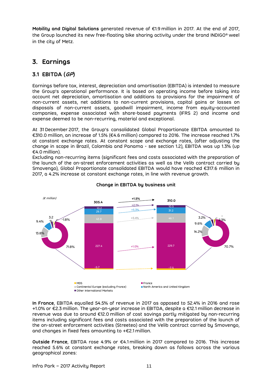**Mobility and Digital Solutions** generated revenue of €1.9 million in 2017. At the end of 2017, the Group launched its new free-floating bike sharing activity under the brand INDIGO® weel in the city of Metz.

# **3. Earnings**

### **3.1 EBITDA (GP)**

Earnings before tax, interest, depreciation and amortisation (EBITDA) is intended to measure the Group's operational performance. It is based on operating income before taking into account net depreciation, amortisation and additions to provisions for the impairment of non-current assets, net additions to non-current provisions, capital gains or losses on disposals of non-current assets, goodwill impairment, income from equity-accounted companies, expense associated with share-based payments (IFRS 2) and income and expense deemed to be non-recurring, material and exceptional.

At 31 December 2017, the Group's consolidated Global Proportionate EBITDA amounted to €310.0 million, an increase of 1.5% (€4.6 million) compared to 2016. The increase reached 1.7% at constant exchange rates. At constant scope and exchange rates, (after adjusting the change in scope in Brazil, Colombia and Panama - see section 1.2), EBITDA was up 1.3% (up €4.0 million).

Excluding non-recurring items (significant fees and costs associated with the preparation of the launch of the on-street enforcement activities as well as the Velib contract carried by Smovengo), Global Proportionate consolidated EBITDA would have reached €317.6 million in 2017, a 4.2% increase at constant exchange rates, in line with revenue growth.



### **Change in EBITDA by business unit**

**In France**, EBITDA equalled 54.5% of revenue in 2017 as opposed to 52.4% in 2016 and rose +1.0% or €2.3 million. The year-on-year increase in EBITDA, despite a €12.1 million decrease in revenue was due to around €12.0 million of cost savings partly mitigated by non-recurring items including significant fees and costs associated with the preparation of the launch of the on-street enforcement activities (Streeteo) and the Velib contract carried by Smovengo, and changes in fixed fees amounting to +€2.1 million.

**Outside France**, EBITDA rose 4.9% or €4.1 million in 2017 compared to 2016. This increase reached 5.6% at constant exchange rates, breaking down as follows across the various geographical zones: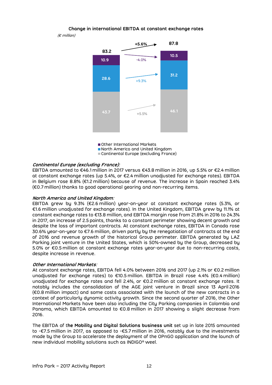**Change in international EBITDA at constant exchange rates** 

(€ million)



■ Other International Markets North America and United Kingdom Continental Europe (excluding France)

#### **Continental Europe (excluding France):**

EBITDA amounted to €46.1 million in 2017 versus €43.8 million in 2016, up 5.5% or €2.4 million at constant exchange rates (up 5.4%, or €2.4 million unadjusted for exchange rates). EBITDA in Belgium rose 8.8% (€1.2 million) because of revenue. The increase in Spain reached 3.4% (€0.7 million) thanks to good operational gearing and non-recurring items.

#### **North America and United Kingdom**:

EBITDA grew by 9.3% (€2.6 million) year-on-year at constant exchange rates (5.3%, or €1.6 million unadjusted for exchange rates). In the United Kingdom, EBITDA grew by 11.1% at constant exchange rates to €13.8 million, and EBITDA margin rose from 21.8% in 2016 to 24.3% in 2017, an increase of 2.5 points, thanks to a constant perimeter showing decent growth and despite the loss of important contracts. At constant exchange rates, EBITDA in Canada rose 30.6% year-on-year to €7.6 million, driven partly by the renegotiation of contracts at the end of 2016 and revenue growth of the historical Group perimeter. EBITDA generated by LAZ Parking joint venture in the United States, which is 50%-owned by the Group, decreased by 5.0% or €0.5 million at constant exchange rates year-on-year due to non-recurring costs, despite increase in revenue.

#### **Other International Markets**:

At constant exchange rates, EBITDA fell 4.0% between 2016 and 2017 (up 2.1% or €0.2 million unadjusted for exchange rates) to €10.5 million. EBITDA in Brazil rose 4.4% (€0.4 million) unadjusted for exchange rates and fell 2.4%, or €0.2 million at constant exchange rates. It notably includes the consolidation of the AGE joint venture in Brazil since 13 April 2016 (€0.8 million impact) and some costs associated with the launch of the new contracts in a context of particularly dynamic activity growth. Since the second quarter of 2016, the Other International Markets have been also including the City Parking companies in Colombia and Panama, which EBITDA amounted to €0.8 million in 2017 showing a slight decrease from 2016.

The EBITDA of t**he Mobility and Digital Solutions business unit** set up in late 2015 amounted to -€7.5 million in 2017, as opposed to -€5.7 million in 2016, notably due to the investments made by the Group to accelerate the deployment of the OPnGO application and the launch of new individual mobility solutions such as INDIGO® weel.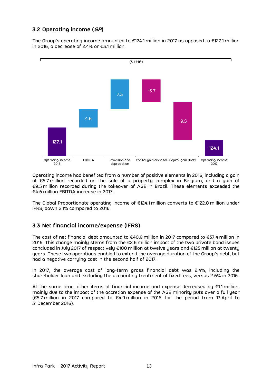### **3.2 Operating income (GP)**

The Group's operating income amounted to €124.1 million in 2017 as opposed to €127.1 million in 2016, a decrease of 2.4% or €3.1 million.



Operating income had benefited from a number of positive elements in 2016, including a gain of €5.7 million recorded on the sale of a property complex in Belgium, and a gain of €9.5 million recorded during the takeover of AGE in Brazil. These elements exceeded the €4.6 million EBITDA increase in 2017.

The Global Proportionate operating income of €124.1 million converts to €122.8 million under IFRS, down 2.1% compared to 2016.

### **3.3 Net financial income/expense (IFRS)**

The cost of net financial debt amounted to €40.9 million in 2017 compared to €37.4 million in 2016. This change mainly stems from the €2.6 million impact of the two private bond issues concluded in July 2017 of respectively €100 million at twelve years and €125 million at twenty years. These two operations enabled to extend the average duration of the Group's debt, but had a negative carrying cost in the second half of 2017.

In 2017, the average cost of long-term gross financial debt was 2.4%, including the shareholder loan and excluding the accounting treatment of fixed fees, versus 2.6% in 2016.

At the same time, other items of financial income and expense decreased by  $\epsilon$ 1.1 million, mainly due to the impact of the accretion expense of the AGE minority puts over a full year (€5.7 million in 2017 compared to €4.9 million in 2016 for the period from 13 April to 31 December 2016).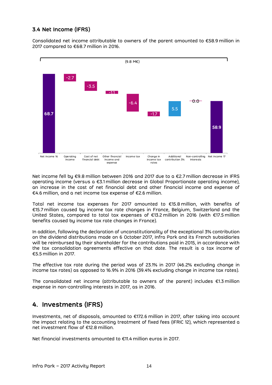### **3.4 Net Income (IFRS)**

Consolidated net income attributable to owners of the parent amounted to €58.9 million in 2017 compared to €68.7 million in 2016.



Net income fell by €9.8 million between 2016 and 2017 due to a €2.7 million decrease in IFRS operating income (versus a €3.1 million decrease in Global Proportionate operating income), an increase in the cost of net financial debt and other financial income and expense of €4.6 million, and a net income tax expense of €2.6 million.

Total net income tax expenses for 2017 amounted to €15.8 million, with benefits of €15.7 million caused by income tax rate changes in France, Belgium, Switzerland and the United States, compared to total tax expenses of €13.2 million in 2016 (with €17.5 million benefits caused by income tax rate changes in France).

In addition, following the declaration of unconstitutionality of the exceptional 3% contribution on the dividend distributions made on 6 October 2017, Infra Park and its French subsidiaries will be reimbursed by their shareholder for the contributions paid in 2015, in accordance with the tax consolidation agreements effective on that date. The result is a tax income of €5.5 million in 2017.

The effective tax rate during the period was of 23.1% in 2017 (46.2% excluding change in income tax rates) as opposed to 16.9% in 2016 (39.4% excluding change in income tax rates).

The consolidated net income (attributable to owners of the parent) includes  $\epsilon$ 1.3 million expense in non-controlling interests in 2017, as in 2016.

# **4. Investments (IFRS)**

Investments, net of disposals, amounted to €172.6 million in 2017, after taking into account the impact relating to the accounting treatment of fixed fees (IFRIC 12), which represented a net investment flow of €12.8 million.

Net financial investments amounted to €11.4 million euros in 2017.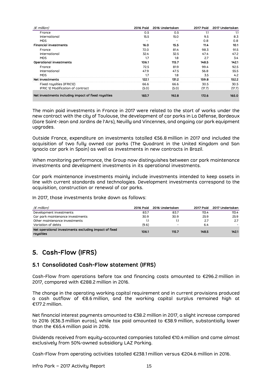| $(\epsilon$ million)                                | <b>2016 Paid</b> | 2016 Undertaken | <b>2017 Paid</b> | 2017 Undertaken |
|-----------------------------------------------------|------------------|-----------------|------------------|-----------------|
| France                                              | 0.5              | 0.5             | 1.1              | 1.1             |
| International                                       | 15.5             | 15.0            | 9.5              | 8.3             |
| <b>MDS</b>                                          |                  |                 | 0.8              | 0.8             |
| <b>Financial investments</b>                        | 16.0             | 15.5            | 11.4             | 10.1            |
| France                                              | 72.0             | 81.4            | 98.3             | 91.5            |
| International                                       | 32.4             | 32.5            | 47.4             | 47.2            |
| <b>MDS</b>                                          | 1.7              | 1.8             | 2.7              | 3.4             |
| Operational investments                             | 106.1            | 115.7           | 148.5            | 142.1           |
| France                                              | 72.5             | 81.9            | 99.4             | 92.5            |
| International                                       | 47.9             | 47.5            | 56.8             | 55.5            |
| <b>MDS</b>                                          | 1.7              | 1.8             | 3.5              | 4.2             |
| Net investments                                     | 122.1            | 131.2           | 159.8            | 152.2           |
| Fixed royalties (IFRIC12)                           | 66.6             | 66.6            | 30.5             | 30.5            |
| <b>IFRIC 12 Modification of contract</b>            | (5.0)            | (5.0)           | (17.7)           | (17.7)          |
| Net investments including impact of fixed royalties | 183.7            | 192.8           | 172.6            | 165.0           |

The main paid investments in France in 2017 were related to the start of works under the new contract with the city of Toulouse, the development of car parks in La Défense, Bordeaux (Gare Saint-Jean and Jardins de l'Ars), Neuilly and Vincennes, and ongoing car park equipment upgrades.

Outside France, expenditure on investments totalled €56.8 million in 2017 and included the acquisition of two fully owned car parks (The Quadrant in the United Kingdom and San Ignacio car park in Spain) as well as investments in new contracts in Brazil.

When monitoring performance, the Group now distinguishes between car park maintenance investments and development investments in its operational investments.

Car park maintenance investments mainly include investments intended to keep assets in line with current standards and technologies. Development investments correspond to the acquisition, construction or renewal of car parks.

In 2017, those investments broke down as follows:

| $(\epsilon$ million)                                               |       | 2016 Paid 2016 Undertaken | 2017 Poid | 2017 Undertaken |
|--------------------------------------------------------------------|-------|---------------------------|-----------|-----------------|
| Development investments                                            | 83.7  | 83.7                      | 113.4     | 113.4           |
| Car park maintenance investments                                   | 30.9  | 30.9                      | 25.9      | 25.9            |
| Other maintenance investments                                      |       |                           | -2.7      | 2.7             |
| Variation of debts                                                 | (9.6) | $\overline{\phantom{0}}$  | 6.4       |                 |
| Net operational investments excluding impact of fixed<br>royalties | 106.1 | 115.7                     | 148.5     | 142.1           |

# **5. Cash-Flow (IFRS)**

### **5.1 Consolidated Cash-Flow statement (IFRS)**

Cash-Flow from operations before tax and financing costs amounted to €296.2 million in 2017, compared with €288.2 million in 2016.

The change in the operating working capital requirement and in current provisions produced a cash outflow of €8.6 million, and the working capital surplus remained high at €177.2 million.

Net financial interest payments amounted to €38.2 million in 2017, a slight increase compared to 2016 (€36.3 million euros), while tax paid amounted to €38.9 million, substantially lower than the €65.4 million paid in 2016.

Dividends received from equity-accounted companies totalled €10.4 million and came almost exclusively from 50%-owned subsidiary LAZ Parking.

Cash-Flow from operating activities totalled €238.1 million versus €204.6 million in 2016.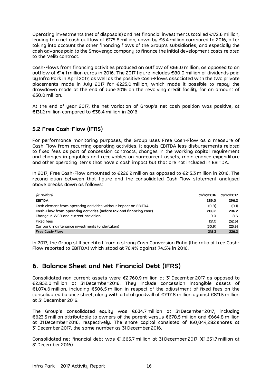Operating investments (net of disposals) and net financial investments totalled €172.6 million, leading to a net cash outflow of €175.8 million, down by €5.4 million compared to 2016, after taking into account the other financing flows of the Group's subsidiaries, and especially the cash advance paid to the Smovengo company to finance the initial development costs related to the Velib contract.

Cash-Flows from financing activities produced an outflow of €66.0 million, as opposed to an outflow of €14.1 million euros in 2016. The 2017 figure includes €80.0 million of dividends paid by Infra Park in April 2017, as well as the positive Cash-Flows associated with the two private placements made in July 2017 for €225.0 million, which made it possible to repay the drawdown made at the end of June 2016 on the revolving credit facility for an amount of €50.0 million.

At the end of year 2017, the net variation of Group's net cash position was positive, at €131.2 million compared to €38.4 million in 2016.

### **5.2 Free Cash-Flow (IFRS)**

For performance monitoring purposes, the Group uses Free Cash-Flow as a measure of Cash-Flow from recurring operating activities. It equals EBITDA less disbursements related to fixed fees as part of concession contracts, changes in the working capital requirement and changes in payables and receivables on non-current assets, maintenance expenditure and other operating items that have a cash impact but that are not included in EBITDA.

In 2017, Free Cash-Flow amounted to €226.2 million as opposed to €215.3 million in 2016. The reconciliation between that figure and the consolidated Cash-Flow statement analysed above breaks down as follows:

| $(\epsilon$ million)                                                | 31/12/2016 | 31/12/2017 |
|---------------------------------------------------------------------|------------|------------|
| <b>EBITDA</b>                                                       | 289.0      | 296.2      |
| Cash element from operating activities without impact on EBITDA     | (0.8)      | (0.1)      |
| Cash-Flow from operating activities (before tax and financing cost) | 288.2      | 296.2      |
| Change in WCR and current provision                                 | 9.0        | 8.6        |
| <b>Fixed fees</b>                                                   | (51.1)     | (52.6)     |
| Car park maintenance investments (undertaken)                       | (30.9)     | (25.9)     |
| <b>Free Cosh-Flow</b>                                               | 215.3      | 226.2      |

In 2017, the Group still benefited from a strong Cash Conversion Ratio (the ratio of free Cash-Flow reported to EBITDA) which stood at 76.4% against 74.5% in 2016.

# **6. Balance Sheet and Net Financial Debt (IFRS)**

Consolidated non-current assets were €2,760.9 million at 31 December 2017 as opposed to €2.852.0 million at 31 December 2016. They include concession intangible assets of €1,074.6 million, including €306.5 million in respect of the adjustment of fixed fees on the consolidated balance sheet, along with a total goodwill of €797.8 million against €811.5 million at 31 December 2016.

The Group's consolidated equity was €634.7 million at 31 December 2017, including €623.5 million attributable to owners of the parent versus €678.5 million and €664.8 million at 31 December 2016, respectively. The share capital consisted of 160,044,282 shares at 31 December 2017, the same number as 31 December 2016.

Consolidated net financial debt was €1,665.7 million at 31 December 2017 (€1,651.7 million at 31 December 2016).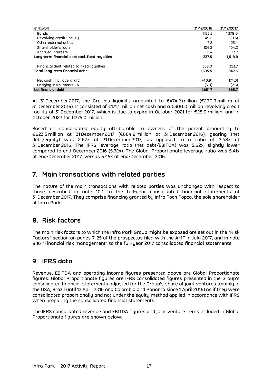| $\epsilon$ million                                        | 31/12/2016 | 31/12/2017 |
|-----------------------------------------------------------|------------|------------|
| <b>Bonds</b>                                              | 1,155.5    | 1,378.0    |
| Revolving credit Facility                                 | 49.2       | (0.5)      |
| Other external debts                                      | 17.2       | 23.4       |
| Shareholder's loan                                        | 104.2      | 104.2      |
| Accrued interests                                         | 11.4       | 13.7       |
| Long-term financial debt excl. fixed royalties<br>1,337.5 |            | 1,518.8    |
| Financial debt related to fixed royalties                 | 358.0      | 323.7      |
| Total long-term financial debt                            | 1,695.5    | 1,842.5    |
| Net cash (incl. overdraft)                                | (40.9)     | (174.3)    |
| Hedging instruments FV                                    | (3.0)      | (2.6)      |
| Net financial debt                                        | 1,651.7    | 1.665.7    |

At 31 December 2017, the Group's liquidity amounted to €474.2 million (€290.9 million at 31 December 2016). It consisted of €171.1 million net cash and a €300.0 million revolving credit facility at 31 December 2017, which is due to expire in October 2021 for €25.0 million, and in October 2022 for €275.0 million.

Based on consolidated equity attributable to owners of the parent amounting to €623.5 million at 31 December 2017 (€664.8 million at 31 December 2016), gearing (net debt/equity) was 2.67x at 31 December 2017, as opposed to a ratio of 2.48x at 31 December 2016. The IFRS leverage ratio (net debt/EBITDA) was 5.62x, slightly lower compared to end-December 2016 (5.72x). The Global Proportionate leverage ratio was 5.41x at end-December 2017, versus 5.45x at end-December 2016.

# **7. Main transactions with related parties**

The nature of the main transactions with related parties was unchanged with respect to those described in note 10.1 to the full-year consolidated financial statements at 31 December 2017. They comprise financing granted by Infra Foch Topco, the sole shareholder of Infra Park.

# **8. Risk factors**

The main risk factors to which the Infra Park Group might be exposed are set out in the "Risk Factors" section on pages 7-25 of the prospectus filed with the AMF in July 2017, and in note 8.16 "Financial risk management" to the full-year 2017 consolidated financial statements.

# **9. IFRS data**

Revenue, EBITDA and operating income figures presented above are Global Proportionate figures. Global Proportionate figures are IFRS consolidated figures presented in the Group's consolidated financial statements adjusted for the Group's share of joint ventures (mainly in the USA, Brazil until 12 April 2016 and Colombia and Panama since 1 April 2016) as if they were consolidated proportionally and not under the equity method applied in accordance with IFRS when preparing the consolidated financial statements.

The IFRS consolidated revenue and EBITDA figures and joint venture items included in Global Proportionate figures are shown below: